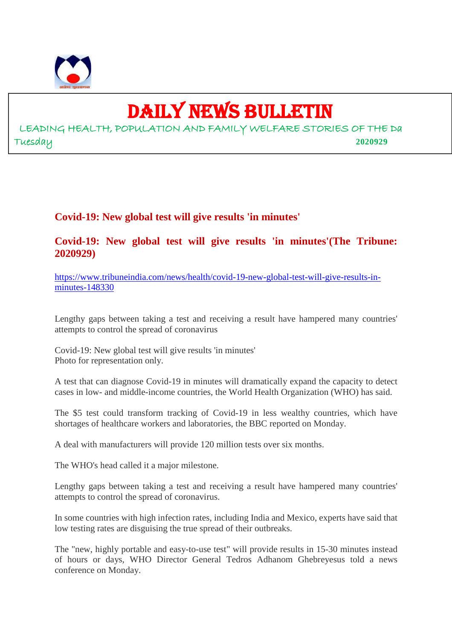

## DAILY NEWS BULLETIN

LEADING HEALTH, POPULATION AND FAMILY WELFARE STORIES OF THE Da Tuesday **2020929**

#### **Covid-19: New global test will give results 'in minutes'**

#### **Covid-19: New global test will give results 'in minutes'(The Tribune: 2020929)**

https://www.tribuneindia.com/news/health/covid-19-new-global-test-will-give-results-inminutes-148330

Lengthy gaps between taking a test and receiving a result have hampered many countries' attempts to control the spread of coronavirus

Covid-19: New global test will give results 'in minutes' Photo for representation only.

A test that can diagnose Covid-19 in minutes will dramatically expand the capacity to detect cases in low- and middle-income countries, the World Health Organization (WHO) has said.

The \$5 test could transform tracking of Covid-19 in less wealthy countries, which have shortages of healthcare workers and laboratories, the BBC reported on Monday.

A deal with manufacturers will provide 120 million tests over six months.

The WHO's head called it a major milestone.

Lengthy gaps between taking a test and receiving a result have hampered many countries' attempts to control the spread of coronavirus.

In some countries with high infection rates, including India and Mexico, experts have said that low testing rates are disguising the true spread of their outbreaks.

The "new, highly portable and easy-to-use test" will provide results in 15-30 minutes instead of hours or days, WHO Director General Tedros Adhanom Ghebreyesus told a news conference on Monday.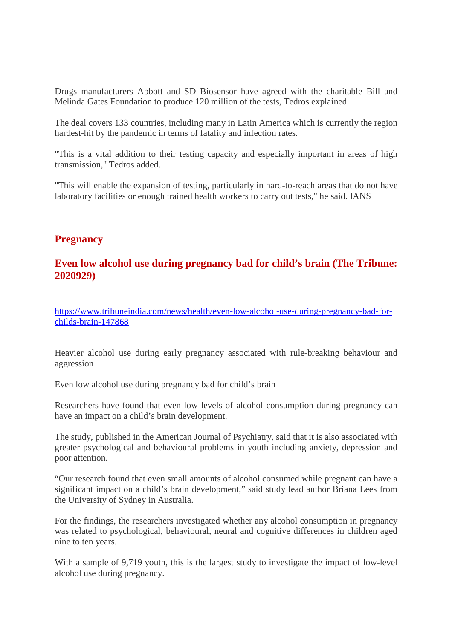Drugs manufacturers Abbott and SD Biosensor have agreed with the charitable Bill and Melinda Gates Foundation to produce 120 million of the tests, Tedros explained.

The deal covers 133 countries, including many in Latin America which is currently the region hardest-hit by the pandemic in terms of fatality and infection rates.

"This is a vital addition to their testing capacity and especially important in areas of high transmission," Tedros added.

"This will enable the expansion of testing, particularly in hard-to-reach areas that do not have laboratory facilities or enough trained health workers to carry out tests," he said. IANS

#### **Pregnancy**

#### **Even low alcohol use during pregnancy bad for child's brain (The Tribune: 2020929)**

https://www.tribuneindia.com/news/health/even-low-alcohol-use-during-pregnancy-bad-forchilds-brain-147868

Heavier alcohol use during early pregnancy associated with rule-breaking behaviour and aggression

Even low alcohol use during pregnancy bad for child's brain

Researchers have found that even low levels of alcohol consumption during pregnancy can have an impact on a child's brain development.

The study, published in the American Journal of Psychiatry, said that it is also associated with greater psychological and behavioural problems in youth including anxiety, depression and poor attention.

"Our research found that even small amounts of alcohol consumed while pregnant can have a significant impact on a child's brain development," said study lead author Briana Lees from the University of Sydney in Australia.

For the findings, the researchers investigated whether any alcohol consumption in pregnancy was related to psychological, behavioural, neural and cognitive differences in children aged nine to ten years.

With a sample of 9,719 youth, this is the largest study to investigate the impact of low-level alcohol use during pregnancy.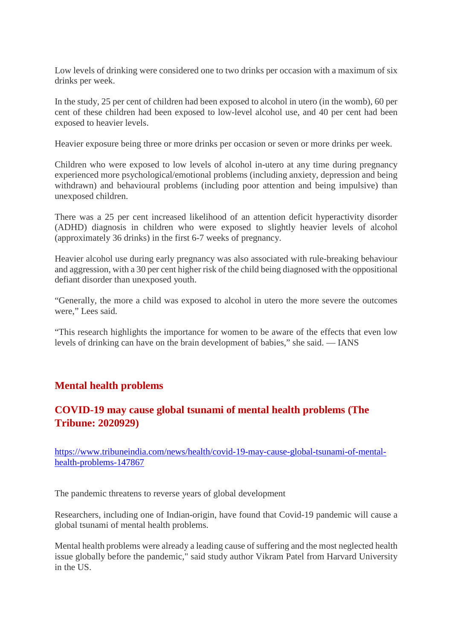Low levels of drinking were considered one to two drinks per occasion with a maximum of six drinks per week.

In the study, 25 per cent of children had been exposed to alcohol in utero (in the womb), 60 per cent of these children had been exposed to low-level alcohol use, and 40 per cent had been exposed to heavier levels.

Heavier exposure being three or more drinks per occasion or seven or more drinks per week.

Children who were exposed to low levels of alcohol in-utero at any time during pregnancy experienced more psychological/emotional problems (including anxiety, depression and being withdrawn) and behavioural problems (including poor attention and being impulsive) than unexposed children.

There was a 25 per cent increased likelihood of an attention deficit hyperactivity disorder (ADHD) diagnosis in children who were exposed to slightly heavier levels of alcohol (approximately 36 drinks) in the first 6-7 weeks of pregnancy.

Heavier alcohol use during early pregnancy was also associated with rule-breaking behaviour and aggression, with a 30 per cent higher risk of the child being diagnosed with the oppositional defiant disorder than unexposed youth.

"Generally, the more a child was exposed to alcohol in utero the more severe the outcomes were." Lees said.

"This research highlights the importance for women to be aware of the effects that even low levels of drinking can have on the brain development of babies," she said. — IANS

#### **Mental health problems**

#### **COVID-19 may cause global tsunami of mental health problems (The Tribune: 2020929)**

https://www.tribuneindia.com/news/health/covid-19-may-cause-global-tsunami-of-mentalhealth-problems-147867

The pandemic threatens to reverse years of global development

Researchers, including one of Indian-origin, have found that Covid-19 pandemic will cause a global tsunami of mental health problems.

Mental health problems were already a leading cause of suffering and the most neglected health issue globally before the pandemic," said study author Vikram Patel from Harvard University in the US.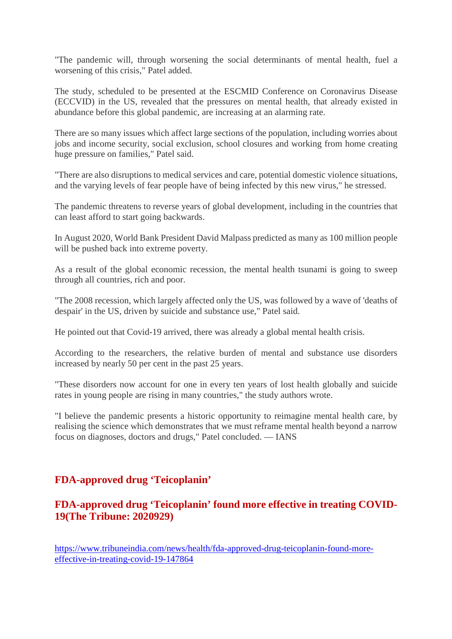"The pandemic will, through worsening the social determinants of mental health, fuel a worsening of this crisis," Patel added.

The study, scheduled to be presented at the ESCMID Conference on Coronavirus Disease (ECCVID) in the US, revealed that the pressures on mental health, that already existed in abundance before this global pandemic, are increasing at an alarming rate.

There are so many issues which affect large sections of the population, including worries about jobs and income security, social exclusion, school closures and working from home creating huge pressure on families," Patel said.

"There are also disruptions to medical services and care, potential domestic violence situations, and the varying levels of fear people have of being infected by this new virus," he stressed.

The pandemic threatens to reverse years of global development, including in the countries that can least afford to start going backwards.

In August 2020, World Bank President David Malpass predicted as many as 100 million people will be pushed back into extreme poverty.

As a result of the global economic recession, the mental health tsunami is going to sweep through all countries, rich and poor.

"The 2008 recession, which largely affected only the US, was followed by a wave of 'deaths of despair' in the US, driven by suicide and substance use," Patel said.

He pointed out that Covid-19 arrived, there was already a global mental health crisis.

According to the researchers, the relative burden of mental and substance use disorders increased by nearly 50 per cent in the past 25 years.

"These disorders now account for one in every ten years of lost health globally and suicide rates in young people are rising in many countries," the study authors wrote.

"I believe the pandemic presents a historic opportunity to reimagine mental health care, by realising the science which demonstrates that we must reframe mental health beyond a narrow focus on diagnoses, doctors and drugs," Patel concluded. — IANS

#### **FDA-approved drug 'Teicoplanin'**

#### **FDA-approved drug 'Teicoplanin' found more effective in treating COVID-19(The Tribune: 2020929)**

https://www.tribuneindia.com/news/health/fda-approved-drug-teicoplanin-found-moreeffective-in-treating-covid-19-147864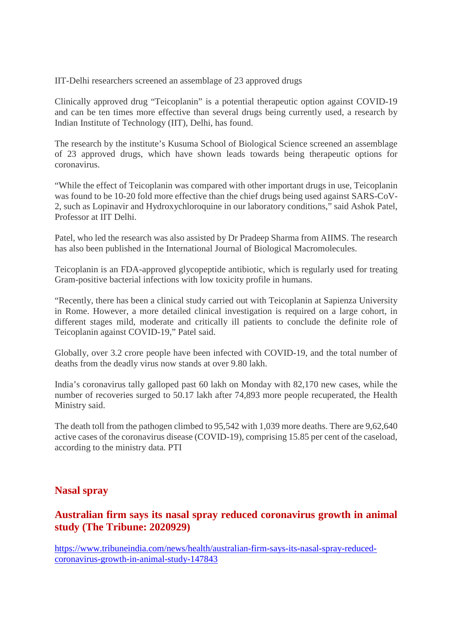IIT-Delhi researchers screened an assemblage of 23 approved drugs

Clinically approved drug "Teicoplanin" is a potential therapeutic option against COVID-19 and can be ten times more effective than several drugs being currently used, a research by Indian Institute of Technology (IIT), Delhi, has found.

The research by the institute's Kusuma School of Biological Science screened an assemblage of 23 approved drugs, which have shown leads towards being therapeutic options for coronavirus.

"While the effect of Teicoplanin was compared with other important drugs in use, Teicoplanin was found to be 10-20 fold more effective than the chief drugs being used against SARS-CoV-2, such as Lopinavir and Hydroxychloroquine in our laboratory conditions," said Ashok Patel, Professor at IIT Delhi.

Patel, who led the research was also assisted by Dr Pradeep Sharma from AIIMS. The research has also been published in the International Journal of Biological Macromolecules.

Teicoplanin is an FDA-approved glycopeptide antibiotic, which is regularly used for treating Gram-positive bacterial infections with low toxicity profile in humans.

"Recently, there has been a clinical study carried out with Teicoplanin at Sapienza University in Rome. However, a more detailed clinical investigation is required on a large cohort, in different stages mild, moderate and critically ill patients to conclude the definite role of Teicoplanin against COVID-19," Patel said.

Globally, over 3.2 crore people have been infected with COVID-19, and the total number of deaths from the deadly virus now stands at over 9.80 lakh.

India's coronavirus tally galloped past 60 lakh on Monday with 82,170 new cases, while the number of recoveries surged to 50.17 lakh after 74,893 more people recuperated, the Health Ministry said.

The death toll from the pathogen climbed to 95,542 with 1,039 more deaths. There are 9,62,640 active cases of the coronavirus disease (COVID-19), comprising 15.85 per cent of the caseload, according to the ministry data. PTI

#### **Nasal spray**

#### **Australian firm says its nasal spray reduced coronavirus growth in animal study (The Tribune: 2020929)**

https://www.tribuneindia.com/news/health/australian-firm-says-its-nasal-spray-reducedcoronavirus-growth-in-animal-study-147843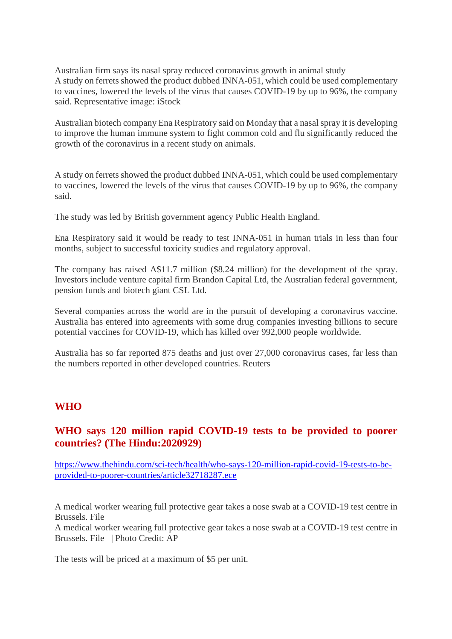Australian firm says its nasal spray reduced coronavirus growth in animal study A study on ferrets showed the product dubbed INNA-051, which could be used complementary to vaccines, lowered the levels of the virus that causes COVID-19 by up to 96%, the company said. Representative image: iStock

Australian biotech company Ena Respiratory said on Monday that a nasal spray it is developing to improve the human immune system to fight common cold and flu significantly reduced the growth of the coronavirus in a recent study on animals.

A study on ferrets showed the product dubbed INNA-051, which could be used complementary to vaccines, lowered the levels of the virus that causes COVID-19 by up to 96%, the company said.

The study was led by British government agency Public Health England.

Ena Respiratory said it would be ready to test INNA-051 in human trials in less than four months, subject to successful toxicity studies and regulatory approval.

The company has raised A\$11.7 million (\$8.24 million) for the development of the spray. Investors include venture capital firm Brandon Capital Ltd, the Australian federal government, pension funds and biotech giant CSL Ltd.

Several companies across the world are in the pursuit of developing a coronavirus vaccine. Australia has entered into agreements with some drug companies investing billions to secure potential vaccines for COVID-19, which has killed over 992,000 people worldwide.

Australia has so far reported 875 deaths and just over 27,000 coronavirus cases, far less than the numbers reported in other developed countries. Reuters

#### **WHO**

#### **WHO says 120 million rapid COVID-19 tests to be provided to poorer countries? (The Hindu:2020929)**

https://www.thehindu.com/sci-tech/health/who-says-120-million-rapid-covid-19-tests-to-beprovided-to-poorer-countries/article32718287.ece

A medical worker wearing full protective gear takes a nose swab at a COVID-19 test centre in Brussels. File

A medical worker wearing full protective gear takes a nose swab at a COVID-19 test centre in Brussels. File | Photo Credit: AP

The tests will be priced at a maximum of \$5 per unit.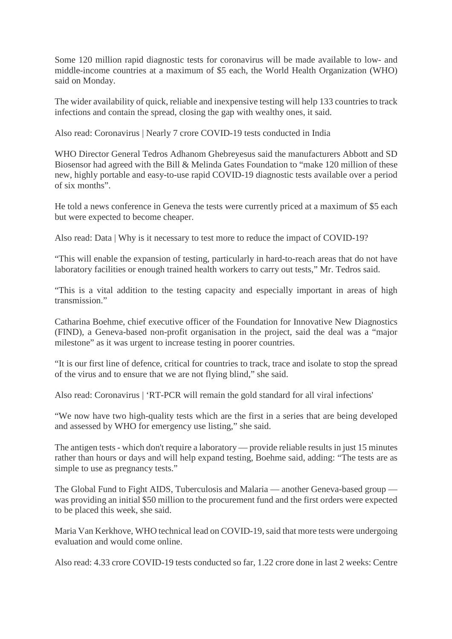Some 120 million rapid diagnostic tests for coronavirus will be made available to low- and middle-income countries at a maximum of \$5 each, the World Health Organization (WHO) said on Monday.

The wider availability of quick, reliable and inexpensive testing will help 133 countries to track infections and contain the spread, closing the gap with wealthy ones, it said.

Also read: Coronavirus | Nearly 7 crore COVID-19 tests conducted in India

WHO Director General Tedros Adhanom Ghebreyesus said the manufacturers Abbott and SD Biosensor had agreed with the Bill & Melinda Gates Foundation to "make 120 million of these new, highly portable and easy-to-use rapid COVID-19 diagnostic tests available over a period of six months".

He told a news conference in Geneva the tests were currently priced at a maximum of \$5 each but were expected to become cheaper.

Also read: Data | Why is it necessary to test more to reduce the impact of COVID-19?

"This will enable the expansion of testing, particularly in hard-to-reach areas that do not have laboratory facilities or enough trained health workers to carry out tests," Mr. Tedros said.

"This is a vital addition to the testing capacity and especially important in areas of high transmission."

Catharina Boehme, chief executive officer of the Foundation for Innovative New Diagnostics (FIND), a Geneva-based non-profit organisation in the project, said the deal was a "major milestone" as it was urgent to increase testing in poorer countries.

"It is our first line of defence, critical for countries to track, trace and isolate to stop the spread of the virus and to ensure that we are not flying blind," she said.

Also read: Coronavirus | 'RT-PCR will remain the gold standard for all viral infections'

"We now have two high-quality tests which are the first in a series that are being developed and assessed by WHO for emergency use listing," she said.

The antigen tests - which don't require a laboratory — provide reliable results in just 15 minutes rather than hours or days and will help expand testing, Boehme said, adding: "The tests are as simple to use as pregnancy tests."

The Global Fund to Fight AIDS, Tuberculosis and Malaria — another Geneva-based group was providing an initial \$50 million to the procurement fund and the first orders were expected to be placed this week, she said.

Maria Van Kerkhove, WHO technical lead on COVID-19, said that more tests were undergoing evaluation and would come online.

Also read: 4.33 crore COVID-19 tests conducted so far, 1.22 crore done in last 2 weeks: Centre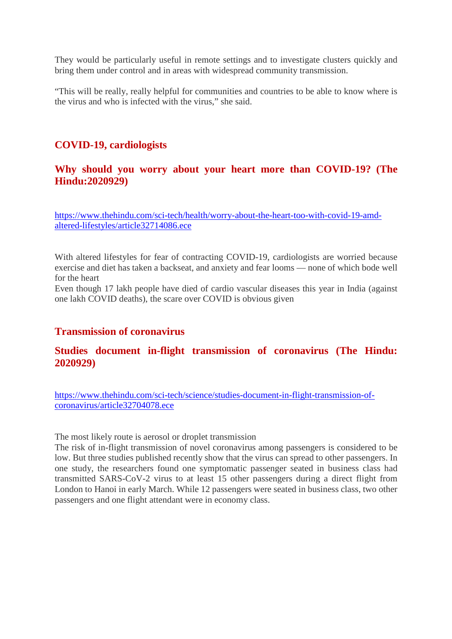They would be particularly useful in remote settings and to investigate clusters quickly and bring them under control and in areas with widespread community transmission.

"This will be really, really helpful for communities and countries to be able to know where is the virus and who is infected with the virus," she said.

#### **COVID-19, cardiologists**

#### **Why should you worry about your heart more than COVID-19? (The Hindu:2020929)**

https://www.thehindu.com/sci-tech/health/worry-about-the-heart-too-with-covid-19-amdaltered-lifestyles/article32714086.ece

With altered lifestyles for fear of contracting COVID-19, cardiologists are worried because exercise and diet has taken a backseat, and anxiety and fear looms — none of which bode well for the heart

Even though 17 lakh people have died of cardio vascular diseases this year in India (against one lakh COVID deaths), the scare over COVID is obvious given

#### **Transmission of coronavirus**

#### **Studies document in-flight transmission of coronavirus (The Hindu: 2020929)**

https://www.thehindu.com/sci-tech/science/studies-document-in-flight-transmission-ofcoronavirus/article32704078.ece

The most likely route is aerosol or droplet transmission

The risk of in-flight transmission of novel coronavirus among passengers is considered to be low. But three studies published recently show that the virus can spread to other passengers. In one study, the researchers found one symptomatic passenger seated in business class had transmitted SARS-CoV-2 virus to at least 15 other passengers during a direct flight from London to Hanoi in early March. While 12 passengers were seated in business class, two other passengers and one flight attendant were in economy class.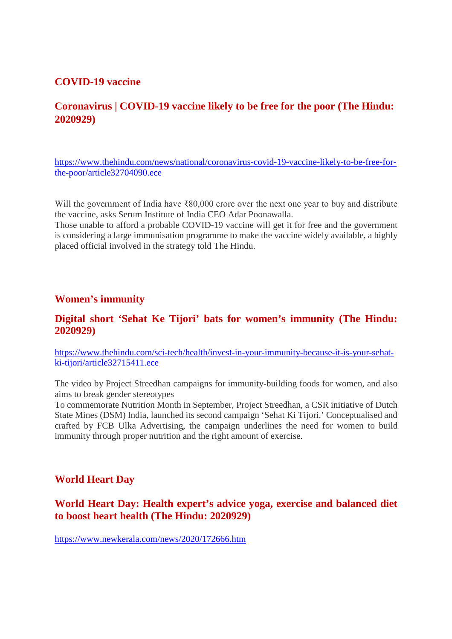#### **COVID-19 vaccine**

#### **Coronavirus | COVID-19 vaccine likely to be free for the poor (The Hindu: 2020929)**

https://www.thehindu.com/news/national/coronavirus-covid-19-vaccine-likely-to-be-free-forthe-poor/article32704090.ece

Will the government of India have ₹80,000 crore over the next one year to buy and distribute the vaccine, asks Serum Institute of India CEO Adar Poonawalla.

Those unable to afford a probable COVID-19 vaccine will get it for free and the government is considering a large immunisation programme to make the vaccine widely available, a highly placed official involved in the strategy told The Hindu.

#### **Women's immunity**

#### **Digital short 'Sehat Ke Tijori' bats for women's immunity (The Hindu: 2020929)**

https://www.thehindu.com/sci-tech/health/invest-in-your-immunity-because-it-is-your-sehatki-tijori/article32715411.ece

The video by Project Streedhan campaigns for immunity-building foods for women, and also aims to break gender stereotypes

To commemorate Nutrition Month in September, Project Streedhan, a CSR initiative of Dutch State Mines (DSM) India, launched its second campaign 'Sehat Ki Tijori.' Conceptualised and crafted by FCB Ulka Advertising, the campaign underlines the need for women to build immunity through proper nutrition and the right amount of exercise.

#### **World Heart Day**

#### **World Heart Day: Health expert's advice yoga, exercise and balanced diet to boost heart health (The Hindu: 2020929)**

https://www.newkerala.com/news/2020/172666.htm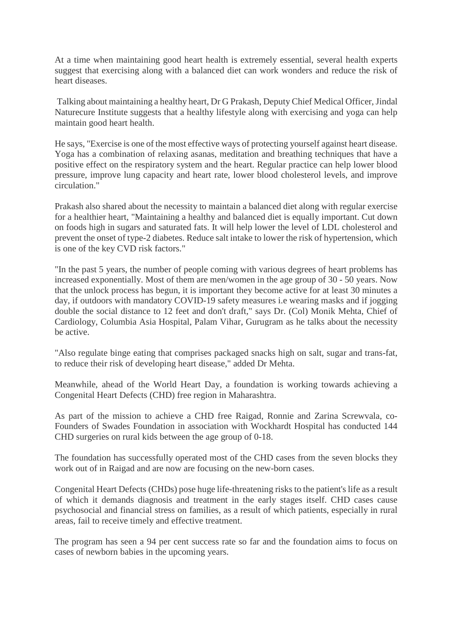At a time when maintaining good heart health is extremely essential, several health experts suggest that exercising along with a balanced diet can work wonders and reduce the risk of heart diseases.

Talking about maintaining a healthy heart, Dr G Prakash, Deputy Chief Medical Officer, Jindal Naturecure Institute suggests that a healthy lifestyle along with exercising and yoga can help maintain good heart health.

He says, "Exercise is one of the most effective ways of protecting yourself against heart disease. Yoga has a combination of relaxing asanas, meditation and breathing techniques that have a positive effect on the respiratory system and the heart. Regular practice can help lower blood pressure, improve lung capacity and heart rate, lower blood cholesterol levels, and improve circulation."

Prakash also shared about the necessity to maintain a balanced diet along with regular exercise for a healthier heart, "Maintaining a healthy and balanced diet is equally important. Cut down on foods high in sugars and saturated fats. It will help lower the level of LDL cholesterol and prevent the onset of type-2 diabetes. Reduce salt intake to lower the risk of hypertension, which is one of the key CVD risk factors."

"In the past 5 years, the number of people coming with various degrees of heart problems has increased exponentially. Most of them are men/women in the age group of 30 - 50 years. Now that the unlock process has begun, it is important they become active for at least 30 minutes a day, if outdoors with mandatory COVID-19 safety measures i.e wearing masks and if jogging double the social distance to 12 feet and don't draft," says Dr. (Col) Monik Mehta, Chief of Cardiology, Columbia Asia Hospital, Palam Vihar, Gurugram as he talks about the necessity be active.

"Also regulate binge eating that comprises packaged snacks high on salt, sugar and trans-fat, to reduce their risk of developing heart disease," added Dr Mehta.

Meanwhile, ahead of the World Heart Day, a foundation is working towards achieving a Congenital Heart Defects (CHD) free region in Maharashtra.

As part of the mission to achieve a CHD free Raigad, Ronnie and Zarina Screwvala, co-Founders of Swades Foundation in association with Wockhardt Hospital has conducted 144 CHD surgeries on rural kids between the age group of 0-18.

The foundation has successfully operated most of the CHD cases from the seven blocks they work out of in Raigad and are now are focusing on the new-born cases.

Congenital Heart Defects (CHDs) pose huge life-threatening risks to the patient's life as a result of which it demands diagnosis and treatment in the early stages itself. CHD cases cause psychosocial and financial stress on families, as a result of which patients, especially in rural areas, fail to receive timely and effective treatment.

The program has seen a 94 per cent success rate so far and the foundation aims to focus on cases of newborn babies in the upcoming years.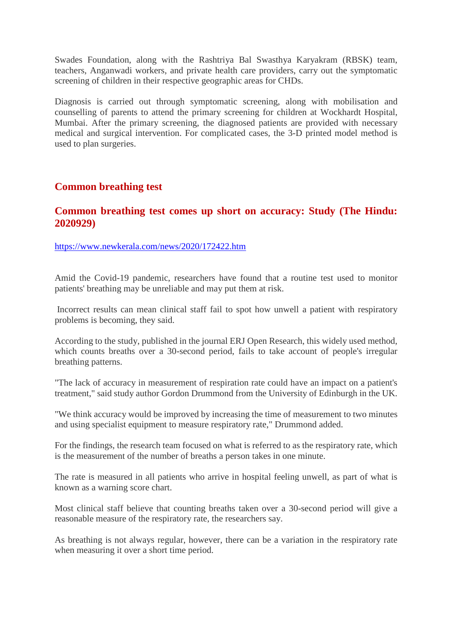Swades Foundation, along with the Rashtriya Bal Swasthya Karyakram (RBSK) team, teachers, Anganwadi workers, and private health care providers, carry out the symptomatic screening of children in their respective geographic areas for CHDs.

Diagnosis is carried out through symptomatic screening, along with mobilisation and counselling of parents to attend the primary screening for children at Wockhardt Hospital, Mumbai. After the primary screening, the diagnosed patients are provided with necessary medical and surgical intervention. For complicated cases, the 3-D printed model method is used to plan surgeries.

#### **Common breathing test**

#### **Common breathing test comes up short on accuracy: Study (The Hindu: 2020929)**

#### https://www.newkerala.com/news/2020/172422.htm

Amid the Covid-19 pandemic, researchers have found that a routine test used to monitor patients' breathing may be unreliable and may put them at risk.

Incorrect results can mean clinical staff fail to spot how unwell a patient with respiratory problems is becoming, they said.

According to the study, published in the journal ERJ Open Research, this widely used method, which counts breaths over a 30-second period, fails to take account of people's irregular breathing patterns.

"The lack of accuracy in measurement of respiration rate could have an impact on a patient's treatment," said study author Gordon Drummond from the University of Edinburgh in the UK.

"We think accuracy would be improved by increasing the time of measurement to two minutes and using specialist equipment to measure respiratory rate," Drummond added.

For the findings, the research team focused on what is referred to as the respiratory rate, which is the measurement of the number of breaths a person takes in one minute.

The rate is measured in all patients who arrive in hospital feeling unwell, as part of what is known as a warning score chart.

Most clinical staff believe that counting breaths taken over a 30-second period will give a reasonable measure of the respiratory rate, the researchers say.

As breathing is not always regular, however, there can be a variation in the respiratory rate when measuring it over a short time period.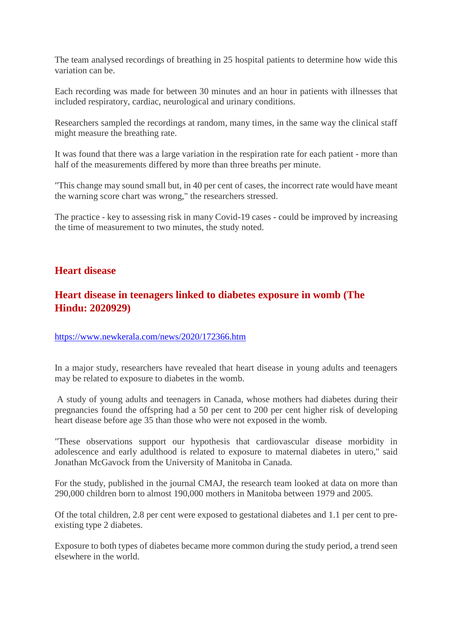The team analysed recordings of breathing in 25 hospital patients to determine how wide this variation can be.

Each recording was made for between 30 minutes and an hour in patients with illnesses that included respiratory, cardiac, neurological and urinary conditions.

Researchers sampled the recordings at random, many times, in the same way the clinical staff might measure the breathing rate.

It was found that there was a large variation in the respiration rate for each patient - more than half of the measurements differed by more than three breaths per minute.

"This change may sound small but, in 40 per cent of cases, the incorrect rate would have meant the warning score chart was wrong," the researchers stressed.

The practice - key to assessing risk in many Covid-19 cases - could be improved by increasing the time of measurement to two minutes, the study noted.

#### **Heart disease**

#### **Heart disease in teenagers linked to diabetes exposure in womb (The Hindu: 2020929)**

https://www.newkerala.com/news/2020/172366.htm

In a major study, researchers have revealed that heart disease in young adults and teenagers may be related to exposure to diabetes in the womb.

A study of young adults and teenagers in Canada, whose mothers had diabetes during their pregnancies found the offspring had a 50 per cent to 200 per cent higher risk of developing heart disease before age 35 than those who were not exposed in the womb.

"These observations support our hypothesis that cardiovascular disease morbidity in adolescence and early adulthood is related to exposure to maternal diabetes in utero," said Jonathan McGavock from the University of Manitoba in Canada.

For the study, published in the journal CMAJ, the research team looked at data on more than 290,000 children born to almost 190,000 mothers in Manitoba between 1979 and 2005.

Of the total children, 2.8 per cent were exposed to gestational diabetes and 1.1 per cent to preexisting type 2 diabetes.

Exposure to both types of diabetes became more common during the study period, a trend seen elsewhere in the world.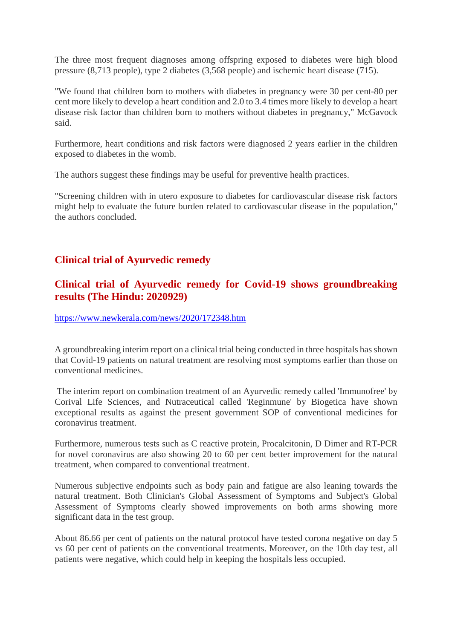The three most frequent diagnoses among offspring exposed to diabetes were high blood pressure (8,713 people), type 2 diabetes (3,568 people) and ischemic heart disease (715).

"We found that children born to mothers with diabetes in pregnancy were 30 per cent-80 per cent more likely to develop a heart condition and 2.0 to 3.4 times more likely to develop a heart disease risk factor than children born to mothers without diabetes in pregnancy," McGavock said.

Furthermore, heart conditions and risk factors were diagnosed 2 years earlier in the children exposed to diabetes in the womb.

The authors suggest these findings may be useful for preventive health practices.

"Screening children with in utero exposure to diabetes for cardiovascular disease risk factors might help to evaluate the future burden related to cardiovascular disease in the population," the authors concluded.

#### **Clinical trial of Ayurvedic remedy**

#### **Clinical trial of Ayurvedic remedy for Covid-19 shows groundbreaking results (The Hindu: 2020929)**

#### https://www.newkerala.com/news/2020/172348.htm

A groundbreaking interim report on a clinical trial being conducted in three hospitals has shown that Covid-19 patients on natural treatment are resolving most symptoms earlier than those on conventional medicines.

The interim report on combination treatment of an Ayurvedic remedy called 'Immunofree' by Corival Life Sciences, and Nutraceutical called 'Reginmune' by Biogetica have shown exceptional results as against the present government SOP of conventional medicines for coronavirus treatment.

Furthermore, numerous tests such as C reactive protein, Procalcitonin, D Dimer and RT-PCR for novel coronavirus are also showing 20 to 60 per cent better improvement for the natural treatment, when compared to conventional treatment.

Numerous subjective endpoints such as body pain and fatigue are also leaning towards the natural treatment. Both Clinician's Global Assessment of Symptoms and Subject's Global Assessment of Symptoms clearly showed improvements on both arms showing more significant data in the test group.

About 86.66 per cent of patients on the natural protocol have tested corona negative on day 5 vs 60 per cent of patients on the conventional treatments. Moreover, on the 10th day test, all patients were negative, which could help in keeping the hospitals less occupied.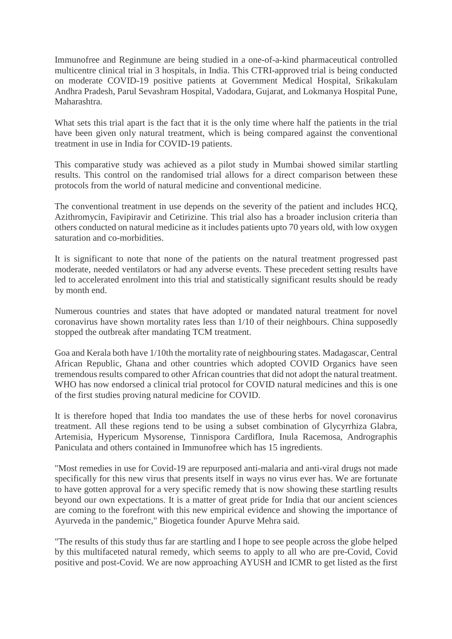Immunofree and Reginmune are being studied in a one-of-a-kind pharmaceutical controlled multicentre clinical trial in 3 hospitals, in India. This CTRI-approved trial is being conducted on moderate COVID-19 positive patients at Government Medical Hospital, Srikakulam Andhra Pradesh, Parul Sevashram Hospital, Vadodara, Gujarat, and Lokmanya Hospital Pune, Maharashtra.

What sets this trial apart is the fact that it is the only time where half the patients in the trial have been given only natural treatment, which is being compared against the conventional treatment in use in India for COVID-19 patients.

This comparative study was achieved as a pilot study in Mumbai showed similar startling results. This control on the randomised trial allows for a direct comparison between these protocols from the world of natural medicine and conventional medicine.

The conventional treatment in use depends on the severity of the patient and includes HCQ, Azithromycin, Favipiravir and Cetirizine. This trial also has a broader inclusion criteria than others conducted on natural medicine as it includes patients upto 70 years old, with low oxygen saturation and co-morbidities.

It is significant to note that none of the patients on the natural treatment progressed past moderate, needed ventilators or had any adverse events. These precedent setting results have led to accelerated enrolment into this trial and statistically significant results should be ready by month end.

Numerous countries and states that have adopted or mandated natural treatment for novel coronavirus have shown mortality rates less than 1/10 of their neighbours. China supposedly stopped the outbreak after mandating TCM treatment.

Goa and Kerala both have 1/10th the mortality rate of neighbouring states. Madagascar, Central African Republic, Ghana and other countries which adopted COVID Organics have seen tremendous results compared to other African countries that did not adopt the natural treatment. WHO has now endorsed a clinical trial protocol for COVID natural medicines and this is one of the first studies proving natural medicine for COVID.

It is therefore hoped that India too mandates the use of these herbs for novel coronavirus treatment. All these regions tend to be using a subset combination of Glycyrrhiza Glabra, Artemisia, Hypericum Mysorense, Tinnispora Cardiflora, Inula Racemosa, Andrographis Paniculata and others contained in Immunofree which has 15 ingredients.

"Most remedies in use for Covid-19 are repurposed anti-malaria and anti-viral drugs not made specifically for this new virus that presents itself in ways no virus ever has. We are fortunate to have gotten approval for a very specific remedy that is now showing these startling results beyond our own expectations. It is a matter of great pride for India that our ancient sciences are coming to the forefront with this new empirical evidence and showing the importance of Ayurveda in the pandemic," Biogetica founder Apurve Mehra said.

"The results of this study thus far are startling and I hope to see people across the globe helped by this multifaceted natural remedy, which seems to apply to all who are pre-Covid, Covid positive and post-Covid. We are now approaching AYUSH and ICMR to get listed as the first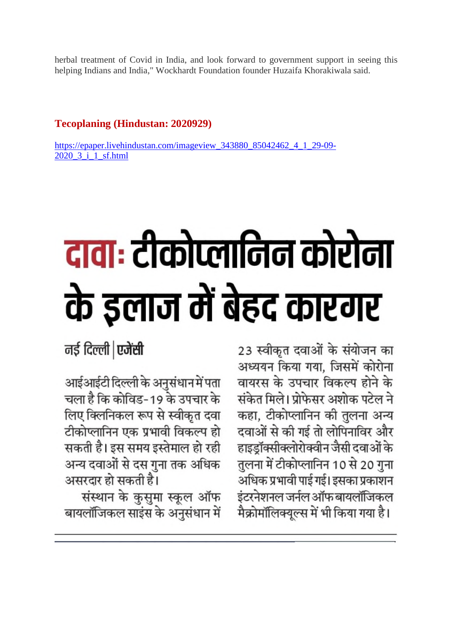herbal treatment of Covid in India, and look forward to government support in seeing this helping Indians and India," Wockhardt Foundation founder Huzaifa Khorakiwala said.

### **Tecoplaning (Hindustan: 2020929)**

https://epaper.livehindustan.com/imageview\_343880\_85042462\_4\_1\_29-09- 2020\_3\_i\_1\_sf.html

# दावाः टीकोप्लानिन कोरोना के इलाज में बेहद कारगर

नई दिल्ली | एजेंसी

आईआईटी दिल्ली के अनुसंधान में पता चला है कि कोविड-19 के उपचार के लिए क्लिनिकल रूप से स्वीकृत दवा टीकोप्लानिन एक प्रभावी विकल्प हो सकती है। इस समय इस्तेमाल हो रही अन्य दवाओं से दस गुना तक अधिक असरदार हो सकती है।

संस्थान के कुसुमा स्कूल ऑफ बायलॉजिकल साइंस के अनुसंधान में

23 स्वीकृत दवाओं के संयोजन का अध्ययन किया गया. जिसमें कोरोना वायरस के उपचार विकल्प होने के संकेत मिले। प्रोफेसर अशोक पटेल ने कहा, टीकोप्लानिन की तुलना अन्य दवाओं से की गई तो लोपिनाविर और हाइड्रॉक्सीक्लोरोक्वीन जैसी दवाओं के तुलना में टीकोप्लानिन 10 से 20 गुना अधिक प्रभावी पाई गई। इसका प्रकाशन इंटरनेशनल जर्नल ऑफ बायलॉजिकल .<br>मैक्रोमॉलिक्यूल्स में भी किया गया है।